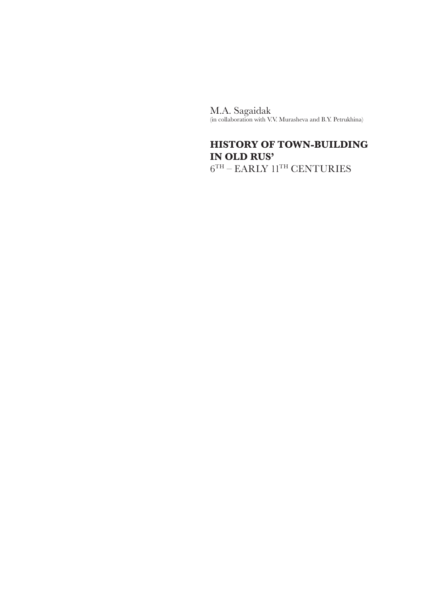M.A. Sagaidak (in collaboration with V.V. Murasheva and B.Y. Petrukhina)

# **HISTORY OF TOWN-BUILDING IN OLD RUS'**

 $6^{\mathrm{TH}}$  – EARLY  $11^{\mathrm{TH}}$  CENTURIES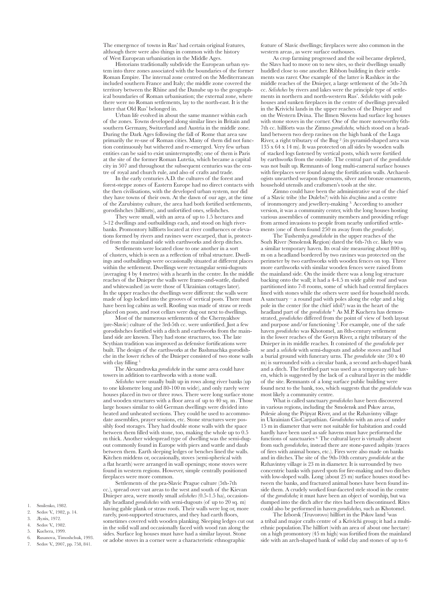The emergence of towns in Rus' had certain original features, although there were also things in common with the history of West European urbanisation in the Middle Ages.

Historians traditionally subdivide the European urban system into three zones associated with the boundaries of the former Roman Empire. The internal zone centred on the Mediterranean included southern France and Italy; the middle zone covered the territory between the Rhine and the Danube up to the geographical boundaries of Roman urbanisation; the external zone, where there were no Roman settlements, lay to the north-east. It is the latter that Old Rus' belonged in.

Urban life evolved in about the same manner within each of the zones. Towns developed along similar lines in Britain and southern Germany, Switzerland and Austria in the middle zone. During the Dark Ages following the fall of Rome that area saw primarily the re-use of Roman cities. Many of them did not function continuously but withered and re-emerged. Very few urban entities can be said to exist uninterruptedly; one of them is Paris at the site of the former Roman Lutetia, which became a capital city in 507 and throughout the subsequent centuries was the centre of royal and church rule, and also of crafts and trade.

In the early centuries A.D. the cultures of the forest and forest-steppe zones of Eastern Europe had no direct contacts with the then civilisations, with the developed urban system, nor did they have towns of their own. At the dawn of our age, at the time of the Zarubintsy culture, the area had both fortified settlements, gorodishches (hillforts), and unfortified ones, selishches.

They were small, with an area of up to 1.5 hectares and 5-12 dwellings and outbuildings each, and stood on high riverbanks. Promontory hillforts located at river confluences or elevations formed by rivers and ravines were escarped, that is, protected from the mainland side with earthworks and deep ditches.

Settlements were located close to one another in a sort of clusters, which is seen as a reflection of tribal structure. Dwellings and outbuildings were occasionally situated at different places within the settlement. Dwellings were rectangular semi-dugouts (averaging 4 by 4 metres) with a hearth in the centre. In the middle reaches of the Dnieper the walls were frame-and-wattle, daubed and whitewashed (as were those of Ukrainian cottages later). In the upper reaches the dwellings were different: the walls were made of logs locked into the grooves of vertical posts. There must have been log cabins as well. Roofing was made of straw or reeds placed on posts, and root cellars were dug out next to dwellings.

Most of the numerous settlements of the Chernyakhov (pre-Slavic) culture of the 3rd-5th cc. were unfortified. Just a few gorodishches fortified with a ditch and earthworks from the mainland side are known. They had stone structures, too. The late Scythian tradition was improved as defensive fortifications were built. The design of the earthworks at the Bashmachka gorodishche in the lower riches of the Dnieper consisted of two stone walls with clay filling<sup>1</sup>

The Alexandrovka *gorodishche* in the same area could have towers in addition to earthworks with a stone wall.

*Selishches* were usually built up in rows along river banks (up to one kilometre long and 80-100 m wide), and only rarely were houses placed in two or three rows. There were long surface stone and wooden structures with a floor area of up to  $40^{\circ}$  sq. m. Those large houses similar to old German dwellings were divided into heated and unheated sections. They could be used to accommodate assemblies, prayer sessions, etc. Stone structures were possibly food storages. They had double stone walls with the space between them filled with stone, too, making the whole up to 0.5 m thick. Another widespread type of dwelling was the semi-dugout commonly found in Europe with piers and wattle and daub between them. Earth sleeping ledges or benches lined the walls. Kitchen middens or, occasionally, stoves (semi-spherical with a flat hearth) were arranged in wall openings; stone stoves were found in western regions. However, simple centrally positioned fireplaces were more common.

Settlements of the pra-Slavic Prague culture (5th-7th cc.), spread over vast areas to the west and south of the Kievan Dnieper area, were mostly small *selishches* (0.5-1.5 ha), occasionally headland *gorodishches* with semi-dugouts (of up to 20 sq. m) having gable plank or straw roofs. Their walls were log or, more rarely, post-supported structures, and they had earth floors, sometimes covered with wooden planking. Sleeping ledges cut out in the solid wall and occasionally faced with wood ran along the sides. Surface log houses must have had a similar layout. Stone or adobe stoves in a corner were a characteristic ethnographic

feature of Slavic dwellings; fireplaces were also common in the western areas, as were surface outhouses.

As crop farming progressed and the soil became depleted, the Slavs had to move on to new sites, so their dwellings usually huddled close to one another. Ribbon building in their settlements was rarer. One example of the latter is Rashkov in the middle reaches of the Dnieper, a large settlement of the 5th-7th cc. *Selishches* by rivers and lakes were the principle type of settlements in northern and north-western Rus'. *Selishches* with pole houses and sunken fireplaces in the centre of dwellings prevailed in the Krivichi lands in the upper reaches of the Dnieper and on the Western Dvina. The Ilmen Slovens had surface log houses with stone stoves in the corner. One of the more noteworthy 6th-7th cc. hillforts was the Zimno *gorodishche,* which stood on a headland between two deep ravines on the high bank of the Luga River, a right tributary of the Bug 2 (its pyramid-shaped area was 135 x 64 x 14 m). It was protected on all sides by wooden walls of stacked logs fastened by vertical posts, which were fortified by earthworks from the outside. The central part of the *gorodishche*  was not built up. Remnants of long multi-cameral surface houses with fireplaces were found along the fortification walls. Archaeologists unearthed weapon fragments, silver and bronze ornaments, household utensils and craftsmen's tools at the site.

Zimno could have been the administrative seat of the chief of a Slavic tribe (the Dulebs?) with his *druzhina* and a centre of ironmongery and jewellery-making 3. According to another version, it was a community center, with the long houses hosting various assemblies of community members and providing refuge from armed invasions to people from nearby unfortified settlements (one of them found 250 m away from the *gorodische*).

The Tushemlya *gorodishche* in the upper reaches of the Sozh River (Smolensk Region) dated the 6th-7th cc. likely was a similar temporary haven. Its oval site measuring about 800 sq. m on a headland bordered by two ravines was protected on the perimeter by two earthworks with wooden fences on top. Three more earthworks with similar wooden fences were raised from the mainland side. On the inside there was a long log structure backing onto the wall; it had a 4-4.5 m wide gable roof and was partitioned into 7-8 rooms, some of which had central fireplaces lined with stones while the others were used for household needs. A sanctuary – a round pad with poles along the edge and a big pole in the center (for the chief idol?) was in the heart of the headland part of the *gorodishche*<sup>4</sup> As M.P. Kuchera has demonstrated, *gorodishches* differed from the point of view of both layout and purpose and/or functioning<sup>5</sup>. For example, one of the safe haven *gorodishches* was Khotomel, an 8th-century settlement in the lower reaches of the Goryn River, a right tributary of the Dnieper in its middle reaches. It consisted of the *gorodishche* per se and a *selishche* with semi-dugouts and adobe stoves and had a burial ground with funerary urns. The *gorodishche* site (30 x 40 m) is surrounded with a circular bank, a second arch-shaped bank and a ditch. The fortified part was used as a temporary safe haven, which is suggested by the lack of a cultural layer in the middle of the site. Remnants of a long surface public building were found next to the bank, too, which suggests that the *gorodishche* was most likely a community centre.

What is called sanctuary *gorodishches* have been discovered in various regions, including the Smolensk and Pskov areas, Polesie along the Pripyat River, and at the Rzhavintsy village in Ukrainian Cis-Carpathian. *Gorodishches* with an area of under 15 m in diameter that were not suitable for habitation and could hardly have been used as safe havens must have performed the functions of sanctuaries <sup>6</sup> The cultural layer is virtually absent from such *gorodishches,* instead there are stone-paved ashpits (traces of fires with animal bones, etc.). Fires were also made on banks and in ditches.The site of the 9th-10th century *gorodishche* at the Rzhavintsy village is 23 m in diameter. It is surrounded by two concentric banks with paved spots for fire-making and two ditches with low-sloped walls. Long (about 25 m) surface houses stood between the banks, and fractured animal bones have been found inside them. A crudely worked four-faceted stele stood in the centre of the *gorodishche;* it must have been an object of worship, but wa dumped into the ditch after the rites had been discontinued. Rites could also be performed in haven *gorodishches,* such as Khotomel.

The Izborsk (Truvorovo) hillfort in the Pskov land 7 was a tribal and major crafts centre of a Krivichi group; it had a multiethnic population.The hillfort (with an area of about one hectare) on a high promontory (45 m high) was fortified from the mainland side with an arch-shaped bank of solid clay and stones of up to 6

- 1. Smilenko, 1982. 2. Sedov V., 1982, p. 14.
- 3. Лулix, 1972.
- 4. Sedov V., 1982.
- 5. Kuchera, 1999.
- 6. Rusanova, Timoshchuk, 1993.
- 7. Sedov V., 2007, pp. 758, 841.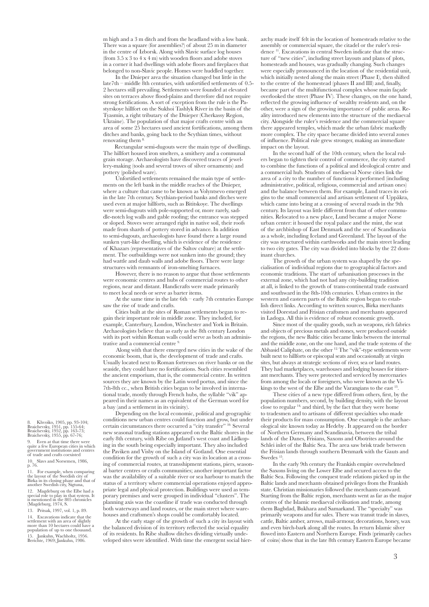m high and a 3 m ditch and from the headland with a low bank . There was a square (for assemblies?) of about 25 m in diameter in the centre of Izborsk. Along with Slavic surface log houses (from 3.5 x 3 to 4 x 4 m) with wooden floors and adobe stoves in a corner it had dwellings with adobe floors and fireplaces that belonged to non-Slavic people. Homes were huddled together.

In the Dnieper area the situation changed but little in the  $\lambda$  late7th – middle  $\delta$ th centuries, with unfortified settlements of 0.5-2 hectares still prevailing. Settlements were founded at elevated sites on terraces above flood-plains and therefore did not require strong fortifications. A sort of exception from the rule is the Pastyrskoye hillfort on the Sukhoi Tashlyk River in the basin of the Tyasmin, a right tributary of the Dnieper (Cherkassy Region, Ukraine). The population of that major crafts centre with an area of some 25 hectares used ancient fortifications, among them ditches and banks, going back to the Scythian times, without renovating them 8.

Rectangular semi-dugouts were the main type of dwellings. The hillfort housed iron smelters, a smithery and a communal grain storage. Archaeologists have discovered traces of jewellery-making (tools and several troves of silver ornaments) and pottery (polished ware).

Unfortified settlements remained the main type of settlements on the left bank in the middle reaches of the Dnieper, where a culture that came to be known as Volyntsevo emerged in the late 7th century. Scythian-period banks and ditches were used even at major hillforts, such as Bititskoye. The dwellings were semi-dugouts with pole-supported or, more rarely, saddle-notch log walls and gable roofing; the entrance was stepped or sloped. Stoves were arranged right in native soil, their roofs made from shards of pottery stored in advance. In addition to semi-dugouts, archaeologists have found there a large round sunken yurt-like dwelling, which is evidence of the residence of Khazars (representatives of the Saltov culture) at the settlement. The outbuildings were not sunken into the ground; they had wattle and daub walls and adobe floors. There were large structures with remnants of iron-smelting furnaces.

However, there is no reason to argue that those settlements were economic centres and hubs of commercial routes to other regions, near and distant. Handicrafts were made primarily to meet local needs or serve as barter items.

At the same time in the late 6th – early 7th centuries Europe saw the rise of trade and crafts.

Cities built at the sites of Roman settlements began to regain their important role in middle zone. They included, for example, Canterbury, London, Winchester and York in Britain. Archaeologists believe that as early as the 8th century London with its port within Roman walls could serve as both an administrative and a commercial centre 9.

 Along with that there emerged new cities in the wake of the economic boom, that is, the development of trade and crafts. Usually located next to Roman fortresses on river banks or on the seaside, they could have no fortifications. Such cities resembled the ancient emporium, that is, the commercial centre. In written sources they are known by the Latin word portus, and since the 7th-8th cc., when British cities began to be involved in international trade, mostly through French hubs, the syllable "vik" appeared in their names as an equivalent of the German word for a bay (and a settlement in its vicinity).

Depending on the local economic, political and geographic conditions new urban centres could function and grow, but under certain circumstances there occurred a "city transfer" 10. Several new seasonal trading stations appeared on the Baltic shores in the early 8th century, with Ribe on Jutland's west coast and Lidkoping in the south being especially important. They also included the Paviken and Visby on the Island of Gotland. One essential condition for the growth of such a city was its location at a crossing of commercial routes, at transshipment stations, piers, seasonal barter centres or crafts communities; another important factor was the availability of a suitable river or sea harbour to match the status of a territory where commercial operations enjoyed appropriate legal and physical protection. Buildings were used as temporary premises and were grouped in individual "clusters". The planning axis was the coastline if trade was conducted through both waterways and land routes, or the main street where warehouses and craftsmen's shops could be comfortably located.

At the early stage of the growth of such a city its layout with the balanced division of its territory reflected the social equality of its residents. In Ribe shallow ditches dividing virtually undeveloped sites were identified. With time the emergent social hierarchy made itself felt in the location of homesteads relative to the assembly or commercial square, the citadel or the ruler's residence 11. Excavations in central Sweden indicate that the structure of "new cities", including street layouts and plans of plots, homesteads and houses, was gradually changing. Such changes were especially pronounced in the location of the residential unit, which initially nested along the main street (Phase I), then shifted to the centre of the homestead (phases II and III) and, finally, became part of the multifunctional complex whose main façade overlooked the street (Phase IV). These changes, on the one hand, reflected the growing influence of wealthy residents and, on the other, were a sign of the growing importance of public areas. Reality introduced new elements into the structure of the mediaeval city. Alongside the ruler's residence and the commercial square there appeared temples, which made the urban fabric markedly more complex. The city space became divided into several zones of influence. Political rule grew stronger, making an immediate impact on the layout.

In the second half of the 10th century, when the local rulers began to tighten their control of commerce, the city started to combine the functions of a political and ideological centre and a commercial hub. Students of mediaeval Norse cities link the area of a city to the number of functions it performed (including administrative, political, religious, commercial and artisan ones) and the balance between them. For example, Lund traces its origins to the small commercial and artisan settlement of Uppåkra, which came into being at a crossing of several roads in the 9th century. Its layout was little different from that of other communities. Relocated to a new place, Lund became a major Norse urban center: it housed the royal palace and the mint, the seat of the archbishop of East Denmark and the see of Scandinavia as a whole, including Iceland and Greenland. The layout of the city was structured within earthworks and the main street leading to two city gates. The city was divided into blocks by the 22 dominant churches.

The growth of the urban system was shaped by the specialisation of individual regions due to geographical factors and economic traditions. The start of urbanisation processes in the external zone, which had not had any city-building tradition at all, is linked to the growth of trans-continental trade eastward and southward in the 8th-10th centuries. Urban centres in the western and eastern parts of the Baltic region began to establish direct links. According to written sources, Birka merchants visited Dorestad and Frisian craftsmen and merchants appeared in Ladoga. All this is evidence of robust economic growth.

Since most of the quality goods, such as weapons, rich fabrics and objects of precious metals and stones, were produced outside the regions, the new Baltic cities became links between the internal and the middle zone, on the one hand, and the trade systems of the Abbasid Caliphate, on the other 12. The "vik"-type settlements were built next to hillforts or episcopal seats and occasionally at virgin sites, but always at strategic sections of river, sea or land routes. They had marketplaces, warehouses and lodging houses for itinerant merchants. They were protected and serviced by mercenaries from among the locals or foreigners, who were known as the Vikings to the west of the Elbe and the Varangians to the east <sup>13</sup>

These cities of a new type differed from others, first, by the population numbers, second, by building density, with the layout close to regular 14, and third, by the fact that they were home to tradesmen and to artisans of different specialties who made their products for mass consumption. One example is the archaeological site known today as Hedeby . It appeared on the border of Northern Germany and Scandinavia, between the tribal lands of the Danes, Frisians, Saxons and Obotrites around the Schlei inlet of the Baltic Sea. The area saw brisk trade between the Frisian lands through southern Denmark with the Gauts and Swedes 15.

In the early 9th century the Frankish empire overwhelmed the Saxons living on the Lower Elbe and secured access to the Baltic Sea. Following the conquest trade relations picked up in the Baltic lands and merchants obtained privileges from the Frankish state. Christian missionaries followed the merchants eastward. Starting from the Baltic region, merchants went as far as the major centres of the Islamic mediaeval civilisation and trade, among them Baghdad, Bukhara and Samarkand. The "specialty" was primarily weapons and fur sales. There was transit trade in slaves, cattle, Baltic amber, arrows, mail-armour, decorations, honey, wax and even birch-bark along all the routes. In return Islamic silver flowed into Eastern and Northern Europe. Finds (primarily caches of coins) show that in the late 8th century Eastern Europe became

8. Khvoiko, 1905, pp. 93-104; Braichevsky, 1951, pp. 155-64; Braichevsky, 1952, pp. 163-73; Braichevsky, 1955, pp. 67-76;

9. Even at that time there were quite a few European cities in which government institutions and centres of trade and crafts coexisted

10. Slavs and Norsemen, 1986, p. 76.

11. For example, when comparing the layout of the Swedish city of Birka in its closing phase and that of another Swedish city, Sigtuna,

12. Magdeburg on the Elbe had a special role to play in that system. It is mentioned in the 805 chronicles (Magdeburg, 1974, S. 13. Pritsak, 1997, vol. 1, p. 89.

14. Excavations indicate that the settlement with an area of slightly more than 10 hectares could have a population of up to one thousand.

15. Jankuhn, Wachholtz, 1956. Berichte, 1969; Jankuhn, 1986.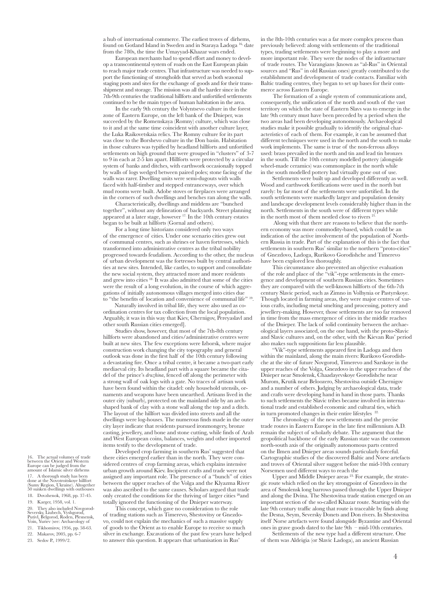a hub of international commerce. The earliest troves of dirhems, found on Gotland Island in Sweden and in Staraya Ladoga<sup>1</sup> <sup>5,</sup> date from the 780s, the time the Umayyad-Khazar wars ended.

European merchants had to spend effort and money to develop a transcontinental system of roads on the East European plain to reach major trade centres. That infrastructure was needed to support the functioning of strongholds that served as both seasonal staging posts and sites for the exchange of goods and for their transshipment and storage. The mission was all the harder since in the 7th-9th centuries the traditional hillforts and unfortified settlements continued to be the main types of human habitation in the area.

In the early 9th century the Volyntsevo culture in the forest zone of Eastern Europe, on the left bank of the Dnieper, was succeeded by the Romenskaya (Romny) culture, which was close to it and at the same time coincident with another culture layer, the Luka Raikovetskaia relics. The Romny culture for its part was close to the Borshevo culture in the Don basin. Habitation in those cultures was typified by headland hillforts and unfortified settlements on high ground that were grouped in "clusters" of 3-7 to 9 in each at 2-5 km apart. Hillforts were protected by a circular system of banks and ditches, with earthwork occasionally topped by walls of logs wedged between paired poles; stone facing of the walls was rarer. Dwelling units were semi-dugouts with walls faced with half-timber and stepped entranceways, over which mud rooms were built. Adobe stoves or fireplaces were arranged in the corners of such dwellings and benches ran along the walls.

Characteristically, dwellings and middens are "bunched together", without any delineation of backyards. Street planning appeared at a later stage, however <sup>17.</sup> In the 10th century estates began to be built at hillforts (Gornal and others).

For a long time historians considered only two ways of the emergence of cities. Under one scenario cities grew out of communal centres, such as shrines or haven fortresses, which transformed into administrative centres as the tribal nobility progressed towards feudalism. According to the other, the nucleus of urban development was the fortresses built by central authorities at new sites. Intended, like castles, to support and consolidate the new social system, they attracted more and more residents and grew into cities <sup>18</sup> It was also admitted that some of the cities were the result of a long evolution, in the course of which aggregations of initially autonomous villages merged into cities due to "the benefits of location and convenience of communal life"

Naturally involved in tribal life, they were also used as coordination centres for tax collection from the local population. Arguably, it was in this way that Kiev, Chernigov, Pereyaslavl and other south Russian cities emerged].

Studies show, however, that most of the 7th-8th century hillforts were abandoned and cities/administrative centres were built at new sites. The few exceptions were Izborsk, where major construction work changing the city topography and general outlook was done in the first half of the 10th century following a devastating fire. Once a tribal centre, it became a two-part early mediaeval city. Its headland part with a square became the citadel of the prince's *druzhina*, fenced off along the perimeter with a strong wall of oak logs with a gate. No traces of artisan work have been found within the citadel: only household utensils, ornaments and weapons have been unearthed. Artisans lived in the outer city (suburb), protected on the mainland side by an archshaped bank of clay with a stone wall along the top and a ditch. The layout of the hillfort was divided into streets and all the dwellings were log-houses. The numerous finds made in the outer city layer indicate that residents pursued ironmongery, bronze casting, jewellery, and bone and stone cutting, while finds of Arab and West European coins, balances, weights and other imported items testify to the development of trade.

Developed crop farming in southern Rus' suggested that there cities emerged earlier than in the north. They were considered centres of crop farming areas, which explains intensive urban growth around Kiev. Incipient crafts and trade were not assigned any important role. The presence of a "bunch" of cities between the upper reaches of the Volga and the Klyazma River was also ascribed to the same causes. Scholars argued that trade only created the conditions for the thriving of larger cities 20and totally ignored the functioning of the Dnieper waterway.

This concept, which gave no consideration to the role of trading stations such as Timerevo, Shestovitsy or Gnezdovo, could not explain the mechanics of such a massive supply of goods to the Orient as to enable Europe to receive so much silver in exchange. Excavations of the past few years have helped to answer this question. It appears that urbanisation in Rus'

in the 8th-10th centuries was a far more complex process than previously believed: along with settlements of the traditional types, trading settlements were beginning to play a more and more important role. They were the nodes of the infrastructure of trade routes. The Varangians (known as "al-Rus" in Oriental sources and "Rus" in old Russian ones) greatly contributed to the establishment and development of trade contacts. Familiar with Baltic trading centres, they began to set up bases for their commerce across Eastern Europe.

The formation of a single system of communications and, consequently, the unification of the north and south of the vast territory on which the state of Eastern Slavs was to emerge in the late 9th century must have been preceded by a period when the two areas had been developing autonomously. Archaeological studies make it possible gradually to identify the original characteristics of each of them. For example, it can be assumed that different techniques were used in the north and the south to make work implements. The same is true of the non-ferrous alloys used: brass prevailed in the north and tin and lead tin bronzes in the south. Till the 10th century modelled pottery (alongside wheel-made ceramics) was commonplace in the north while in the south modelled pottery had virtually gone out of use.

Settlements were built up and developed differently as well. Wood and earthwork fortifications were used in the north but rarely: by far most of the settlements were unfortified. In the south settlements were markedly larger and population density and landscape development levels considerably higher than in the north. Settlements in the south were of different types while in the north most of them nestled close to rivers<sup>2</sup>

 Along with that there are reasons to believe that the northern economy was more commodity-based, which could be an indication of the active involvement of the population of Northern Russia in trade. Part of the explanation of this is the fact that settlements in southern Rus' similar to the northern "proto-cities" of Gnezdovo, Ladoga, Rurikovo Gorodishche and Timerevo have been explored less thoroughly.

This circumstance also prevented an objective evaluation of the role and place of the "vik"-type settlements in the emergence and development of southern Russian cities. Sometimes they are compared with the well-known hillforts of the 6th-7th century Slavic period, such as Zimno in Volhynia or Pastyrskoye. Though located in farming areas, they were major centres of various crafts, including metal smelting and processing, pottery and jewellery-making. However, those settlements are too far removed in time from the mass emergence of cities in the middle reaches of the Dnieper. The lack of solid continuity between the archaeological layers associated, on the one hand, with the proto-Slavic and Slavic cultures and, on the other, with the Kievan Rus' period also makes such suppositions far less plausible.

"Vik"-type settlements appeared first in Ladoga and then within the mainland, along the main rivers: Rurikovo Gorodishche at the site of future Novgorod, Timerevo and Sarskoye in the upper reaches of the Volga. Gnezdovo in the upper reaches of the Dnieper near Smolensk, Chaadayevskoye Gorodishche near Murom, Krutik near Beloozero, Shestovitsa outside Chernigov and a number of others. Judging by archaeological data, trade and crafts were developing hand in hand in those parts. Thanks to such settlements the Slavic tribes became involved in international trade and established economic and cultural ties, which in turn promoted changes in their entire lifestyles  $2$ 

The chronology of the new settlements and the precise trade routes in Eastern Europe in the late first millennium A.D. remain the subject of scholarly debate. The argument that the geopolitical backbone of the early Russian state was the common north-south axis of the originally autonomous parts centred on the Ilmen and Dnieper areas sounds particularly forceful. Cartographic studies of the discovered Baltic and Norse artefacts and troves of Oriental silver suggest before the mid-10th century Norsemen used different ways to reach the

Upper and Middle Dnieper areas<sup>23.</sup> For example, the strategic route which relied on the key strongpoint of Gnezdovo in the area of Smolensk long barrows passed through the Upper Dnieper and along the Dvina. The Shestovitsa trade station emerged on an important section of the so-called Khazar route. Starting with the late 9th century traffic along that route is traceable by finds along the Desna, Seym, Seversky Donets and Don rivers. In Shestovitsa itself Norse artefacts were found alongside Byzantine and Oriental ones in grave goods dated to the late  $9th$  – mid-10th centuries.

Settlements of the new type had a different structure. One of them was Aldeigia (or Slavic Ladoga), an ancient Russian

16. The actual volumes of trade between the Orient and Western Europe can be judged from the amount of Islamic silver dirhems

17. A thorough study has been<br>done at the Novotroitskove hillfo done at the Novotroitskoye hillfort (Sumy Region, Ukraine). Altogether 50 sunken dwellings with outhouses 18. Dovzhenok, 1968, pp. 37-45.

19. Karger, 1958, vol. 1.

20. They also included Novgorod-Seversky, Liubech, Vyshgorod, Putivl, Belgorod, Roden, Plesnensk, Voin, Yuriev (see: Archaeology of

21. Tikhomirov, 1956, pp. 58-63.

22. Makarov, 2005, pp. 6-7

23. Sedov P., 1999/2.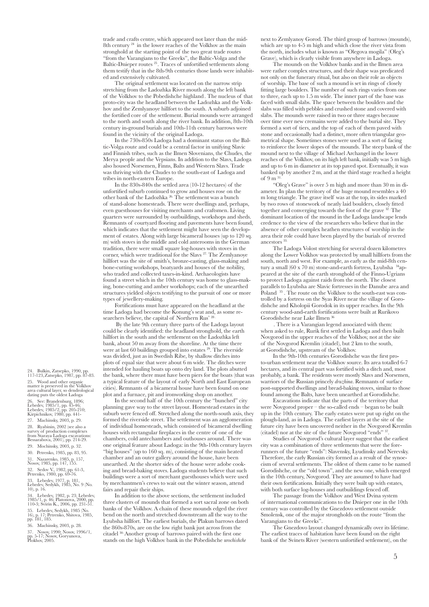trade and crafts centre, which appeared not later than the mid-8th century 24 in the lower reaches of the Volkhov as the main stronghold at the starting point of the two great trade routes "from the Varangians to the Greeks", the Baltic-Volga and the Baltic-Dnieper routes 25. Traces of unfortified settlements along them testify that in the 8th-9th centuries those lands were inhabited and extensively cultivated.

The original settlement was located on the narrow strip stretching from the Ladozhka River mouth along the left bank of the Volkhov to the Pobedishche highland. The nucleus of that proto-city was the headland between the Ladozhka and the Volkhov and the Zemlyanoye hillfort to the south. A suburb adjoined the fortified core of the settlement. Burial mounds were arranged to the north and south along the river bank. In addition, 8th-10th century in-ground burials and 10th-11th century barrows were found in the vicinity of the original Ladoga.

In the 730s-850s Ladoga had a dominant status on the Baltic-Volga route and could be a central factor in unifying Slavic and Finnish tribes, such as the Ilmen Slovenians, the Chudes, the Merya people and the Vepsians. In addition to the Slavs, Ladoga also housed Norsemen, Finns, Balts and Western Slavs. Trade was thriving with the Chudes to the south-east of Ladoga and tribes in north-eastern Europe.

In the 830s-840s the settled area (10-12 hectares) of the unfortified suburb continued to grow and houses rose on the other bank of the Ladozhka 26. The settlement was a bunch of stand-alone homesteads. There were dwellings and, perhaps, even guesthouses for visiting merchants and craftsmen. Living quarters were surrounded by outbuildings, workshops and sheds. Remnants of courtyard flooring and pavements have been found, which indicates that the settlement might have seen the development of estates. Along with large bicameral houses (up to 120 sq. m) with stoves in the middle and cold anterooms in the German tradition, there were small square log-houses with stoves in the corner, which were traditional for the Slavs 27. The Zemlyanoye hillfort was the site of smith's, bronze-casting, glass-making and bone-cutting workshops, boatyards and houses of the nobility, who traded and collected taxes-in-kind. Archaeologists have found a street which in the 10th century was home to glass-making, bone-cutting and amber workshops; each of the unearthed structures yielded objects testifying to the pursuit of one or more types of jewellery-making.

Fortifications must have appeared on the headland at the time Ladoga had become the Konung's seat and, as some researchers believe, the capital of Northern Rus' 28

 By the late 9th century three parts of the Ladoga layout could be clearly identified: the headland stronghold, the earth hillfort in the south and the settlement on the Ladozhka left bank, about 50 m away from the shoreline. At the time there were at last 60 buildings grouped into estates <sup>29</sup>. The riverside was divided, just as in Swedish Ribe, by shallow ditches into plots of equal size that were about 6 m wide. The ditches were intended for hauling boats up onto dry land. The plots abutted the bank, where there must have been piers for the boats (that was a typical feature of the layout of early North and East European cities). Remnants of a bicameral house have been found on one plot and a furnace, pit and ironworking shop on another.

In the second half of the 10th century the "bunched" city planning gave way to the street layout. Homestead estates in the suburb were fenced off. Stretched along the north-south axis, they formed the riverside street. The settlement was an agglomeration of individual homesteads, which consisted of bicameral dwelling houses with rectangular fireplaces in the centre of one of the chambers, cold antechambers and outhouses around. There was one original feature about Ladoga: in the 9th-10th century layers "big houses" (up to 160 sq. m), consisting of the main heated chamber and an outer gallery around the house, have been unearthed. At the shorter sides of the house were adobe cooking and bread-baking stoves. Ladoga students believe that such buildings were a sort of merchant guesthouses which were used by merchantmen's crews to wait out the winter season, attend fairs and repair their ships.

In addition to the above sections, the settlement included three clusters of mounds that formed a sort sacral zone on both banks of the Volkhov. A chain of these mounds edged the river bend on the north and stretched downstream all the way to the Lyubsha hillfort. The earliest burials, the Plakun barrows dated the 860s-870s, are on the low right bank just across from the citadel 30. Another group of barrows paired with the first one stands on the high Volkhov bank in the Pobedishche *urochishche*

next to Zemlyanoy Gorod. The third group of barrows (mounds), which are up to 4-5 m high and which close the river vista from the north, includes what is known as "Olegova mogila" (Oleg's Grave), which is clearly visible from anywhere in Ladoga.

The mounds on the Volkhov banks and in the Ilmen area were rather complex structures, and their shape was predicated not only on the funerary ritual, but also on their role as objects of worship. The base of such a mound is set in rings of closely fitting large boulders. The number of such rings varies from one to three, each up to 1.5 m wide. The inner part of the base was faced with small slabs. The space between the boulders and the slabs was filled with pebbles and crushed stone and covered with slabs. The mounds were raised in two or three stages because over time ever new cremains were added to the burial site. They formed a sort of tiers, and the top of each of them paved with stone and occasionally had a distinct, more often triangular geometrical shape. Sometimes stones were used as a sort of facing to reinforce the lower slopes of the mounds. The steep bank of the mound next to the village of Michael Archangel in the lower reaches of the Volkhov, on its high left bank, initially was 5 m high and up to 6 m in diameter at its top paved spot. Eventually, it was banked up by another 2 m, and at the third stage reached a height of 9 m<sup>3</sup>

"Oleg's Grave" is over 5 m high and more than 30 m in diameter. In plan the territory of the huge mound resembles a 40 m long triangle. The grave itself was at the top, its sides marked by two rows of stonework of neatly laid boulders, closely fitted together and converging towards the foot of the grave 32 . The dominant location of the mound in the Ladoga landscape lends credence to the view of the researchers who believe that in the absence of other complex heathen structures of worship in the area their role could have been played by the burials of revered ancestors 33.

The Ladoga Volost stretching for several dozen kilometres along the Lower Volkhov was protected by small hillforts from the south, north and west. For example, as early as the mid-8th century a small (60 x 70 m) stone-and-earth fortress, Lyubsha 34appeared at the site of the earth stronghold of the Finno-Ugrians to protect Ladoga against raids from the north. The closest parallels to Lyubsha are Slavic fortresses in the Danube area and Poland <sup>35</sup>. The route on the Volkhov to the south-east was controlled by a fortress on the Syas River near the village of Gorodishche and Kholopii Gorodok in its upper reaches. In the 9th century wood-and-earth fortifications were built at Rurikovo Gorodishche near Lake Ilmen 36

 . There is a Varangian legend associated with them: when asked to rule, Rurik first settled in Ladoga and then built Novgorod in the upper reaches of the Volkhov, not at the site of the Novgorod Kremlin (citadel), but 2 km to the south, at Gorodishche, upstream of the Volkhov.

In the 9th-10th centuries Gorodishche was the first proto-urban settlement near the Volkhov source. Its area totalled 6-7 hectares, and its central part was fortified with a ditch and, most probably, a bank. The residents were mostly Slavs and Norsemen, warriors of the Russian princely *druzhina*. Remnants of surface post-supported dwellings and bread-baking stoves, similar to those found among the Balts, have been unearthed at Gorodishche.

Excavations indicate that the parts of the territory that were Novgorod proper – the so-called ends – began to be built up in the 10th century. The early estates were put up right on the plough-land, as in Ladoga. The earliest layers at the site of the future city have been uncovered neither in the Novgorod Kremlin (citadel) nor at the site of the future Novgorod "ends" 37.

Studies of Novgorod's cultural layer suggest that the earliest city was a combination of three settlements that were the forerunners of the future "ends": Slavensky, Lyudinsky and Nerevsky. Therefore, the early Russian city formed as a result of the synoecism of several settlements. The oldest of them came to be named Gorodishche, or the "old town", and the new one, which emerged in the 10th century, Novgorod. They are assumed to have had their own fortifications. Initially they were built up with estates, with both surface log-houses and outbuildings fenced off.

The passage from the Volkhov and West Dvina system of international communications to the Dnieper one in the 10th century was controlled by the Gnezdovo settlement outside Smolensk, one of the major strongholds on the route "from the Varangians to the Greeks".

The Gnezdovo layout changed dynamically over its lifetime. The earliest traces of habitation have been found on the right bank of the Svinets River (western unfortified settlement), on the

24. Bulkin, Zatsepko, 1990, pp. 117-123,Zatsepko, 1987, pp. 87-83. 25. Wood and other organic matter is preserved in the Volkhov area cultural layer, so dendrological dating puts the oldest Ladoga 26. See: Brandenburg, 1896; Lebedev, 1985/1, pp. 45-46; Lebedev, 1985/2, pp. 205-210; Kirpichnikov, 1980, pp. 441- 27. Machinsky, 2003, p. 29.

28. Ryabinin, 2002 (see also a survey of production complexes from Staraya Ladoga excavations: Bessarabova, 2001), pp. 214-29.

29. Mochinsky, 2003, p. 32.

30. Petrenko, 1985, pp. 83, 95.

31. Nazarenko, 1985, p. 157, Nosov, 1985, pp. 147, 155.

32. Sedov V., 1982, pp. 61-3, Petrenko, 1980, pp. 69-76.

33. Lebedev, 1977, p. 181, Lebedev, Sedykh, 1985, No. 9 (No. 10), p. 16.

34. Lebedev, 1982, p. 23; Lebedev, 1985/1, p. 46; Platonova, 2000, pp. 110-3; Svirin K., 2006, pp. 231-51. 35. Lebedev, Sedykh, 1985 (No. 16), p. 17; Petrenko, Shitova, 1985, pp. 181, 185.

36. Machinsky, 2003, p. 28.

37. Nosov, 1990; Nosov, 1996/1, pp. 5-17; Nosov, Goryunova, Plokhov, 2005.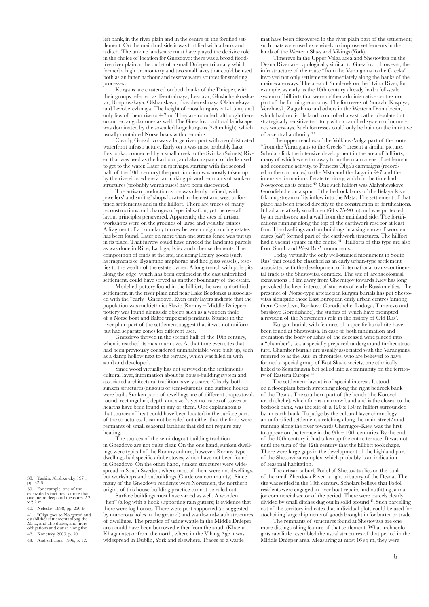left bank, in the river plain and in the centre of the fortified settlement. On the mainland side it was fortified with a bank and a ditch. The unique landscape must have played the decisive role in the choice of location for Gnezdovo: there was a broad floodfree river plain at the outlet of a small Dnieper tributary, which formed a high promontory and two small lakes that could be used both as an inner harbour and reserve water sources for smelting processes.

Kurgans are clustered on both banks of the Dnieper, with their groups referred as Tsentralnaya, Lesnaya, Glushchenkovskaya, Dneprovskaya, Olshanskaya, Pravoberezhnaya Olshanskaya and Levoberezhnaya. The height of most kurgans is 1-1.5 m, and only few of them rise to 4-7 m. They are rounded, although there occur rectangular ones as well. The Gnezdovo cultural landscape was dominated by the so-called large kurgans (2-9 m high), which usually contained Norse boats with cremains.

Clearly, Gnezdovo was a large river port with a sophisticated waterfront infrastructure. Early on it was most probably Lake Bezdonka, connected by a small creek to the Svinka (Svinets) River, that was used as the harbour, and also a system of decks used to get to the water. Later on (perhaps, starting with the second half of the 10th century) the port function was mostly taken up by the riverside, where a tar making pit and remnants of sunken structures (probably warehouses) have been discovered.

The artisan production zone was clearly defined, with jewellers' and smiths' shops located in the east and west unfortified settlements and in the hillfort. There are traces of many reconstructions and changes of specialisation, yet the overall layout principles persevered. Apparently, the sites of artisan workshops were on the grounds of large and wealthy estates. A fragment of a boundary furrow between neighbouring estates has been found. Later on more than one strong fence was put up in its place. That furrow could have divided the land into parcels as was done in Ribe, Ladoga, Kiev and other settlements. The composition of finds at the site, including luxury goods (such as fragments of Byzantine amphorae and fine glass vessels), testifies to the wealth of the estate owner. A long trench with pole pits along the edge, which has been explored in the east unfortified settlement, could have served as another boundary of the estate.

Modelled pottery found in the hillfort, the west unfortified settlement, in the river plain and near Lake Bezdonka is associated with the "early" Gnezdovo. Even early layers indicate that the population was multiethnic: Slavic (Romny – Middle Dnieper) pottery was found alongside objects such as a wooden thole of a Norse boat and Baltic trapezoid pendants. Studies in the river plain part of the settlement suggest that it was not uniform but had separate zones for different uses.

Gnezdovo thrived in the second half of the 10th century, when it reached its maximum size. At that time even sites that had been previously considered uninhabitable were built up, such as a damp hollow next to the terrace, which was filled in with sand and developed.

Since wood virtually has not survived in the settlement's cultural layer, information about its house-building system and associated architectural tradition is very scarce. Clearly, both sunken structures (dugouts or semi-dugouts) and surface houses were built. Sunken parts of dwellings are of different shapes (oval, round, rectangular), depth and size 38, yet no traces of stoves or hearths have been found in any of them. One explanation is that sources of heat could have been located in the surface parts of the structures. It cannot be ruled out either that the finds were remnants of small seasonal facilities that did not require any heating.

The sources of the semi-dugout building tradition in Gnezdovo are not quite clear. On the one hand, sunken dwellings were typical of the Romny culture; however, Romny-type dwellings had specific adobe stoves, which have not been found in Gnezdovo. On the other hand, sunken structures were widespread in South Sweden, where most of them were not dwellings, but workshops and outbuildings (Gardelosa community). Since many of the Gnezdovo residents were Norsemen, the northern origins of this house-building practice cannot be ruled out.

Surface buildings must have varied as well. A wooden "hen" (a log with a hook supporting rain gutters) is evidence that there were log houses. There were post-supported (as suggested by numerous holes in the ground) and wattle-and-daub structures of dwellings. The practice of using wattle in the Middle Dnieper area could have been borrowed either from the south (Khazar Khaganate) or from the north, where in the Viking Age it was widespread in Dublin, York and elsewhere. Traces of a wattle

mat have been discovered in the river plain part of the settlement; such mats were used extensively to improve settlements in the lands of the Western Slavs and Vikings (York).

Timerevo in the Upper Volga area and Shestovitsa on the Desna River are typologically similar to Gnezdovo. However, the infrastructure of the route "from the Varangians to the Greeks" involved not only settlements immediately along the banks of the main waterways. The area of Smolensk on the Dvina River, for example, as early as the 10th century already had a full-scale system of hillforts that were neither administrative centres nor part of the farming economy. The fortresses of Surazh, Kasplya, Verzhavsk, Zagoskino and others in the Western Dvina basin, which had no fertile land, controlled a vast, rather desolate but strategically sensitive territory with a ramified system of numerous waterways. Such fortresses could only be built on the initiative of a central authority<sup>3</sup>

The upper reaches of the Volkhov-Volga part of the route "from the Varangians to the Greeks" present a similar picture. Scholars link the intensive development in the area of hillforts, many of which were far away from the main areas of settlement and economic activity, to Princess Olga's campaigns (recorded in the chronicles) to the Msta and the Luga in 947 and the intensive formation of state territory, which at the time had Novgorod as its centre 40. One such hillfort was Malyshevskoye Gorodishche on a spur of the bedrock bank of the Belaya River 6 km upstream of its inflow into the Msta. The settlement of that place has been traced directly to the construction of fortifications. It had a relatively small area (60 x 75-90 m) and was protected by an earthwork and a wall from the mainland side. The fortifications running along the top of the earthwork rose for at least 6 m. The dwellings and outbuildings in a single row of wooden cages (*klet'*) formed part of the earthwork structures. The hillfort had a vacant square in the centre <sup>41</sup> · Hillforts of this type are also from South and West Rus' monuments.

Today virtually the only well-studied monument in South Rus' that could be classified as an early urban-type settlement associated with the development of international trans-continental trade is the Shestovitsa complex. The site of archaeological excavations 18 km away from Chernigov towards Kiev has long provoked the keen interest of students of early Russian cities. The presence of Norse-type artefacts in kurgan burials has put Shestovitsa alongside those East European early urban centres (among them Gnezdovo, Rurikovo Gorodishche, Ladoga, Timerevo and Sarskoye Gorodishche), the studies of which have prompted a revision of the Norsemen's role in the history of Old Rus'.

Kurgan burials with features of a specific burial rite have been found at Shestovitsa. In case of both inhumation and cremation the body or ashes of the deceased were placed into a "chamber", i.e., a specially prepared underground timber structure. Chamber burials are usually associated with the Varangians, referred to as the Rus' in chronicles, who are believed to have formed a special group of East Slavic society, one ethnically linked to Scandinavia but gelled into a community on the territory of Eastern Europe 42.

The settlement layout is of special interest. It stood on a floodplain bench stretching along the right bedrock bank of the Desna. The southern part of the bench (the Korovel urochishche), which forms a narrow band and is the closest to the bedrock bank, was the site of a 120 x 150 m hillfort surrounded by an earth bank. To judge by the cultural layer chronology, an unfortified settlement stretching along the main street/road running along the river towards Chernigov-Kiev, was the first to appear on the terrace in the 9th – 10th centuries. By the end of the 10th century it had taken up the entire terrace. It was not until the turn of the 12th century that the hillfort took shape. There were large gaps in the development of the highland part of the Shestovitsa complex, which probably is an indication of seasonal habitation.

The artisan suburb Podol of Shestovitsa lies on the bank of the small Zherdova River, a right tributary of the Desna. The site was settled in the 10th century. Scholars believe that Podol residents were engaged in river boat repairs and outfitting, a major commercial sector of the period. There were parcels clearly divided by small ditches dug out in solid ground  $^{43}$ . Such parcelling out of the territory indicates that individual plots could be used for stockpiling large shipments of goods brought in for barter or trade.

The remnants of structures found at Shestovitsa are one more distinguishing feature of that settlement. What archaeologists saw little resembled the usual structures of that period in the Middle Dnieper area. Measuring at most 16 sq m, they were

38. Yashin, Aleshkovsky, 1971, pp. 32-61.

39. For example, one of the excavated structures is more than one metre deep and measures 2.2 x 2.2 m.

40. Nefedov, 1998, pp. 250-9. 41. "Olga goes to Novgorod and establishes settlements along the Msta, and also duties, and more obligations and duties along the

42. Konetsky, 2003, p. 30. 43. Androshchuk, 1999, p. 12.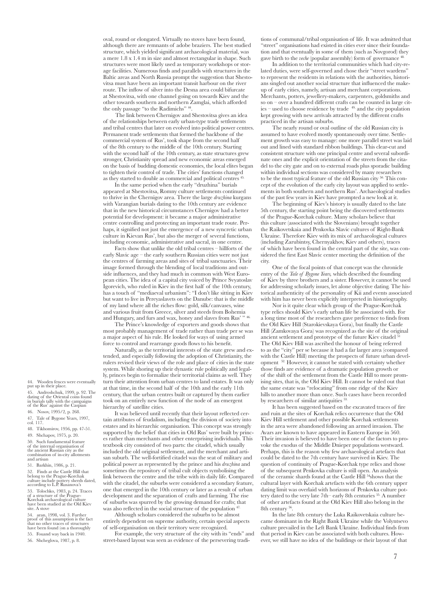oval, round or elongated. Virtually no stoves have been found, although there are remnants of adobe braziers. The best studied structure, which yielded significant archaeological material, was a mere 1.8 x 1.4 m in size and almost rectangular in shape. Such structures were most likely used as temporary workshops or storage facilities. Numerous finds and parallels with structures in the Baltic areas and North Russia prompt the suggestion that Shestovitsa must have been an important transit harbour on the river route. The inflow of silver into the Desna area could bifurcate at Shestovitsa, with one channel going on towards Kiev and the other towards southern and northern Zamglai, which afforded the only passage "to the Radimichs" 44.

The link between Chernigov and Shestovitsa gives an idea of the relationships between early urban-type trade settlements and tribal centres that later on evolved into political power centres. Permanent trade settlements that formed the backbone of the commercial system of Rus', took shape from the second half of the 8th century to the middle of the 10th century. Starting with the second half of the 10th century, as state structures grew stronger, Christianity spread and new economic areas emerged on the basis of budding domestic economies, the local elites began to tighten their control of trade. The cities' functions changed as they started to double as commercial and political centres

In the same period when the early "druzhina" burials appeared at Shestovitsa, Romny culture settlements continued to thrive in the Chernigov area. There the large *druzhina* kurgans with Varangian burials dating to the 10th century are evidence that in the new historical circumstances Chernigov had a better potential for development: it became a major administrative centre controlling and protecting an important trade route. Perhaps, it signified not just the emergence of a new syncretic urban culture in Kievan Rus', but also the merger of several functions, including economic, administrative and sacral, in one centre.

Facts show that unlike the old tribal centres – hillforts of the early Slavic age – the early southern Russian cities were not just the centres of farming areas and sites of tribal sanctuaries. Their image formed through the blending of local traditions and outside influences, and they had much in common with West European cities. The idea of a capital city voiced by Prince Svyatoslav Igorevich, who ruled in Kiev in the first half of the 10th century, has a touch of "mediaeval urbanism": "I don't like sitting in Kiev but want to live in Pereyaslavets on the Danube: that is the middle of my land where all the riches flow: gold, silk/canvases, wine and various fruit from Greece, silver and steeds from Bohemia and Hungary, and furs and wax, honey and slaves from Rus' " 46.

The Prince's knowledge of exporters and goods shows that most probably management of trade rather than trade per se was a major aspect of his rule. He looked for ways of using armed force to control and rearrange goods flows to his benefit.

Naturally, as the territorial interests of the state grew and extended, and especially following the adoption of Christianity, the rulers revised their views of the role and place of cities in the state system. While shoring up their dynastic rule politically and legally, princes begin to formalize their territorial claims as well. They turn their attention from urban centres to land estates. It was only at that time, in the second half of the 10th and the early 11th century, that the urban centres built or captured by them earlier took on an entirely new function of the node of an emergent hierarchy of satellite cities.

It was believed until recently that their layout reflected certain attributes of feudalism, including the division of society into estates and its hierarchic organisation. This concept was strongly supported by the belief that cities in Old Rus' were built by princes rather than merchants and other enterprising individuals. This textbook city consisted of two parts: the citadel, which usually included the old original settlement, and the merchant and artisan suburb. The well-fortified citadel was the seat of military and political power as represented by the prince and his *druzhina* and sometimes the repository of tribal cult objects symbolising the link between the centre and the tribe with its daily life. Compared with the citadel, the suburbs were considered a secondary feature, one that emerged in the 10th century or later as a result of urban development and the separation of crafts and farming. The rise of suburbs was spurred by the growing demand for crafts; that was also reflected in the social structure of the population<sup>47</sup>

Although scholars considered the suburbs to be almost

entirely dependent on supreme authority, certain special aspects of self-organisation on their territory were recognized.

For example, the very structure of the city with its "ends" and street-based layout was seen as evidence of the persevering traditions of communal/tribal organisation of life. It was admitted that "street" organisations had existed in cities ever since their foundation and that eventually in some of them (such as Novgorod) they gave birth to the *veche* (popular assembly) form of governance<sup>48</sup>

In addition to the territorial communities which had city-related duties, were self-governed and chose their "street wardens" to represent the residents in relations with the authorities, historians singled out another social structure that influenced the makeup of early cities, namely, artisan and merchant corporations. Merchants, potters, jewellery-makers, carpenters, goldsmiths and so on – over a hundred different crafts can be counted in large cities – used to choose residence by trade 49, and the city population kept growing with new arrivals attracted by the different crafts practiced in the artisan suburbs.

The nearly round or oval outline of the old Russian city is assumed to have evolved mostly spontaneously over time. Settlement growth was easy to manage: one more parallel street was laid out and lined with standard ribbon buildings. This clear-cut and consistent structure with one principal centre and several subordinate ones and the explicit orientation of the streets from the citadel to the city gate and on to external roads plus sporadic building within individual sections was considered by many researchers to be the most typical feature of the old Russian city<sup>50.</sup> This concept of the evolution of the early city layout was applied to settlements in both southern and northern Rus'. Archaeological studies of the past few years in Kiev have prompted a new look at it.

The beginning of Kiev's history is usually dated to the late 5th century, the starting point being the discovered settlements of the Prague-Korchak culture. Many scholars believe that this culture (associated with the Slovenians) brought together the Raikovetskaia and Penkovka Slavic cultures of Right-Bank Ukraine. Therefore Kiev with its mix of archaeological cultures (including Zarubintsy, Chernyakhov, Kiev and others), traces of which have been found in the central part of the site, was considered the first East Slavic center meeting the definition of the city.

One of the focal points of that concept was the chronicle entry of the *Tale of Bygone Years,* which described the founding of Kiev by three brothers and a sister. However, it cannot be used for addressing scholarly issues, let alone objective dating. The historical authenticity of the personality of Kii and events associated with him has never been explicitly interpreted in historiography.

Nor is it quite clear which group of the Prague-Korchak type relics should Kiev's early urban life be associated with. For a long time most of the researchers gave preference to finds from the Old Kiev Hill (Starokievskaya Gora), but finally the Castle Hill (Zamkovaya Gora) was recognized as the site of the original ancient settlement and prototype of the future Kiev citadel<sup>5</sup> The Old Kiev Hill was ascribed the honour of being referred to as the "city" per se because it had a far larger area (compared with the Castle Hill) meeting the prospects of future urban development 52. However, it cannot be stated with certainty whether those finds are evidence of a dramatic population growth or of the shift of the settlement from the Castle Hill to more promising sites, that is, the Old Kiev Hill. It cannot be ruled out that the same estate was "relocating" from one ridge of the Kiev hills to another more than once. Such cases have been recorded by researchers of similar antiquities  $53$ .

It has been suggested based on the excavated traces of fire and ruin at the sites of Korchak relics occurrence that the Old Kiev Hill settlement and other possible Korchak settlements in the area were abandoned following an armed invasion. The Avars are known to have appeared in Eastern Europe in 560. Their invasion is believed to have been one of the factors to provoke the exodus of the Middle Dnieper populations westward. Perhaps, this is the reason why few archaeological artefacts that could be dated to the 7th century have survived in Kiev. The question of continuity of Prague-Korchak type relics and those of the subsequent Penkovka culture is still open. An analysis of the ceramic shards found at the Castle Hill 54shows that the cultural layer with Korchak artefacts with the 6th century upper dating limit was overlaid with horizons of Penkovka culture pottery dated to the very late 7th– early 8th centuries <sup>55.</sup> A number of other artefacts found at the Old Kiev Hill also belong in the 8th century 56.

In the late 8th century the Luka Raikovetskaia culture became dominant in the Right Bank Ukraine while the Volyntsevo culture prevailed in the Left Bank Ukraine. Individual finds from that period in Kiev can be associated with both cultures. However, we still have no idea of the buildings or their layout of that

44. Wooden fences were eventually put up in their place.

45. Androshchuk, 1999, p. 92. The dating of the Oriental coins found in burials tally with the campaigns of the Rus' against the Caspian

46. Nosov, 1995/2, p. 268.

47. Tale of Bygone Years, 1997, col. 117.

48. Tikhomirov, 1956, pp. 47-51.

49. Shchapov, 1975, p. 20.

50. Such fundamental feature of the internal organisation of the ancient Russian city as the combination of in-city allotments and artisan

51. Barkhin, 1986, p. 21. 52. Finds at the Castle Hill that belong to the Prague-Korchak culture include pottery sherds dated, according to L.P. Rusanova's

53. Tolochko, 1983, p. 24. Traces of a structure of the Prague-Korchak archaeological culture have been studied at the Old Kiev site. A stove

54. aran, 1998, vol. 3. Further proof of this assumption is the fact that no other traces of structures have been found (on a thoroughly 55. Fouand way back in 1940.

56. Shcheglova, 1987, p. 8.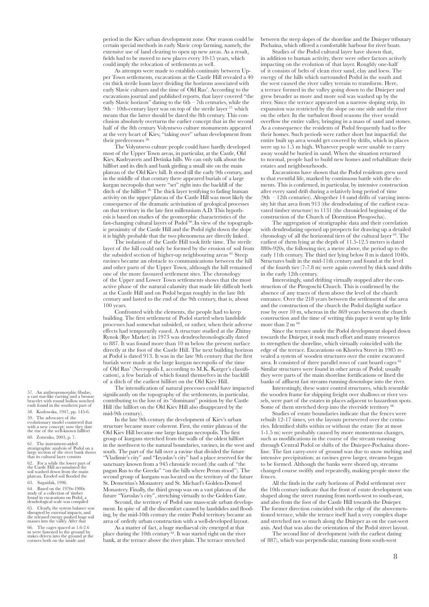period in the Kiev urban development zone. One reason could be certain special methods in early Slavic crop farming, namely, the extensive use of land clearing to open up new areas. As a result, fields had to be moved to new places every 10-15 years, which could imply the relocation of settlements as well.

As attempts were made to establish continuity between Upper Town settlements, excavations at the Castle Hill revealed a 40 cm thick sterile loam layer dividing the horizons associated with early Slavic cultures and the time of Old Rus'. According to the excavations journal and published reports, that layer covered "the early Slavic horizon" dating to the 6th – 7th centuries, while the 9th – 10th-century layer was on top of the sterile layer 57, which means that the latter should be dated the 8th century. This conclusion absolutely overturns the earlier concept that in the second half of the 8th century Volyntsevo culture monuments appeared at the very heart of Kiev, "taking over" urban development from their predecessors<sup>58</sup>

The Volyntsevo culture people could have hardly developed most of the Upper Town areas, in particular, at the Castle, Old Kiev, Kudryavets and Detinka hills. We can only talk about the hillfort and its ditch and bank girding a small site on the main plateau of the Old Kiev hill. It stood till the early 9th century, and in the middle of that century there appeared burials of a large kurgan necropolis that were "set" right into the backfill of the ditch of the hillfort 59. The thick layer testifying to fading human activity on the upper plateau of the Castle Hill was most likely the consequence of the dramatic activisation of geological processes on that territory in the late first millennium A.D. This hypothesis is based on studies of the geomorphic characteristics of the fast-changing cultural layers of  $Podol<sup>60</sup>$ . In view of the topographic proximity of the Castle Hill and the Podol right down the slope it is highly probable that the two phenomena are directly linked.

The isolation of the Castle Hill took little time. The sterile layer of the hill could only be formed by the erosion of soil from the subsided section of higher-up neighbouring areas <sup>61.</sup> Steep ravines became an obstacle to communications between the hill and other parts of the Upper Town, although the hill remained one of the more favoured settlement sites. The chronology of the Upper and Lower Town settlements shows that the most active phase of the natural calamity that made life difficult both at the Castle Hill and on Podol began roughly in the late 8th century and lasted to the end of the 9th century, that is, about 100 years.

Confronted with the elements, the people had to keep building. The first settlement of Podol started when landslide processes had somewhat subsided, or rather, when their adverse effects had temporarily eased. A structure studied at the Zhitny Rynok (Rye Market) in 1973 was dendrochronologically dated to 887. It was found more than 10 m below the present surface directly at the foot of the Castle Hill. The next building horizon at Podol is dated 913. It was in the late 9th century that the first burials were made at the large kurgan necropolis of the time of Old Rus' (Necropolis I, according to M.K. Karger's classification), a few burials of which found themselves in the backfill of a ditch of the earliest hillfort on the Old Kiev Hill.

The intensification of natural processes could have impacted significantly on the topography of the settlements, in particular, contributing to the loss of its "dominant" position by the Castle Hill (the hillfort on the Old Kiev Hill also disappeared by the mid-9th century).

In the late 9th century the development of Kiev's urban structure became more coherent. First, the entire plateau of the Old Kiev Hill became one large kurgan necropolis. The first group of kurgans stretched from the walls of the oldest hillfort in the northwest to the natural boundaries, ravines, in the west and south. The part of the hill over a ravine that divided the future "Vladimir's city" and "Izyaslav's city" had a place reserved for the sanctuary known from a 945 chronicle record (the oath of "the pagan Rus to the Greeks" "on the hills where Perun stood"). The second group of kurgans was located on the territory of the future St. Demetrius's Monastery and St. Michael's Golden-Domed Monastery. Finally, the third group was on a vast plateau of the future "Yaroslav's city", stretching virtually to the Golden Gate.

Second, the territory of Podol saw mass-scale urban development. In spite of all the discomfort caused by landslides and flooding, by the mid-10th century the entire Podol territory became an area of orderly urban construction with a well-developed layout.

As a matter of fact, a huge mediaeval city emerged at that place during the 10th century 62. It was started right on the river bank, at the terrace above the river plain. The terrace stretched between the steep slopes of the shoreline and the Dnieper tributary Pochaina, which offered a comfortable harbour for river boats.

Studies of the Podol cultural layer have shown that, in addition to human activity, there were other factors actively impacting on the evolution of that layer. Roughly one-half of it consists of belts of clean river sand, clay and loess. The energy of the hills which surrounded Podol in the south and the west caused the river valley terrain to transform. Here, a terrace formed in the valley going down to the Dnieper and grew broader as more and more soil was washed up by the river. Since the terrace appeared on a narrow sloping strip, its expansion was restricted by the slope on one side and the river on the other. In the turbulent flood seasons the river would overflow the entire valley, bringing in a mass of sand and stones. As a consequence the residents of Podol frequently had to flee their homes. Such periods were rather short but impactful: the entire built up area would get covered by drifts, which in places were up to 1.5 m high. Whatever people were unable to carry away would be buried in sand. When the situation returned to normal, people had to build new homes and rehabilitate their estates and neighbourhoods.

Excavations have shown that the Podol residents grew used to that eventful life, marked by continuous battle with the elements. This is confirmed, in particular, by intensive construction after every sand drift during a relatively long period of time (9th – 12th centuries). Altogether 14 sand drifts of varying intensity hit that area from 913 (the dendrodating of the earliest excavated timber structure) to 1131 (the chronicled beginning of the construction of the Church of Dormition Pirogoscha).

The aggregation of stratigraphic data and their correlation with dendrodating opened up prospects for drawing up a detailed chronology of all the horizontal tiers of the cultural layer 63. The earliest of them lying at the depth of 11.5-12.5 metres is dated 880s-920s, the following tier, a metre above, the period up to the early 11th century. The third tier lying below 8 m is dated 1040s. Structures built in the mid-11th century and found at the level of the fourth tier (7-7.8 m) were again covered by thick sand drifts in the early 12th century.

Interestingly, sand drifting virtually stopped after the construction of the Pirogoschi Church. This is confirmed by the absence of any traces of them above the level of the church entrance. Over the 218 years between the settlement of the area and the construction of the church the Podol daylight surface rose by over 10 m, whereas in the 869 years between the church construction and the time of writing this paper it went up by little more than  $2 \text{ m}^{-64}$ 

Since the terrace under the Podol development sloped down towards the Dnieper, it took much effort and many resources to strengthen the shoreline, which virtually coincided with the edge of the terrace. Excavations on Khoriva Street in 1985 revealed a system of wooden structures over the entire excavated area. It consisted of three parallel rows of cant board cages  $65$ Similar structures were found in other areas of Podol; usually they were parts of the main shoreline fortifications or lined the banks of affluent fast streams running downslope into the river.

Interestingly, these water control structures, which resemble the wooden frame for shipping freight over shallows or river vessels, were part of the estates in places adjacent to hazardous spots. Some of them stretched deep into the riverside territory  $66$ .

Studies of estate boundaries indicate that the fences were rebuilt 12-17 times, yet the layouts persevered over the centuries. Identified shifts within or without the estate (for at most 1-1.5 m) were probably caused by more momentous changes, such as modifications in the course of the stream running through Central Podol or shifts of the Dnieper-Pochaina shoreline. The fast carry-over of ground was due to snow melting and intensive precipitation; as ravines grew larger, streams began to be formed. Although the banks were shored up, streams changed course swiftly and repeatedly, making people move the fences.

All the finds in the early horizons of Podol settlement over the 10th century indicate that the front of estate development was shaped along the street running from north-west to south-east, and also from the foot of the Castle Hill towards the Dnieper. The former direction coincided with the edge of the abovementioned terrace, while the terrace itself had a very complex shape and stretched not so much along the Dnieper as on the east-west axis. And that was also the orientation of the Podol street layout.

The second line of development (with the earliest dating of 887), which was perpendicular, running from south-west

An anthropomorphic fibulae, a cast star-like earring and a bronze bracelet with round hollow notched ends found in the southern part of 58. Kozlowska, 1947, pp. 145-6.

59. The advocates of the evolutionary model countered that with a new concept: now they date the rise of the well-known hillfort 60. Zotsenko, 2003, p. 7.

61. The instrument-aided stratigraphic analysis of Podol on a large section of the river bank shows that its cultural layer consists 62. For a while the lower part of the Castle Hill accumulated the

soil washed down from the main plateau. Eroded soil flooded the 63. Sagaidak, 1996.

64. Based on the 1970s-1980s study of a collection of timber found in excavations on Podol, a dendrological scale was compiled

65. Clearly, the system balance was disrupted by external impacts, and the released energy pushed huge soil masses into the valley. After that

66. The cages spaced at 1.6-2.6 m were fastened to the ground by stakes driven into the ground at the corners both on the inside and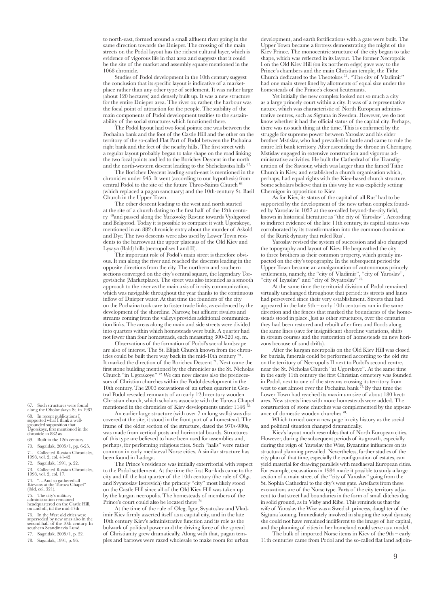to north-east, formed around a small affluent river going in the same direction towards the Dnieper. The crossing of the main streets on the Podol layout has the richest cultural layer, which is evidence of vigorous life in that area and suggests that it could be the site of the market and assembly square mentioned in the 1068 chronicle.

Studies of Podol development in the 10th century suggest the conclusion that its specific layout is indicative of a marketplace rather than any other type of settlement. It was rather large (about 120 hectares) and densely built up. It was a new structure for the entire Dnieper area. The river or, rather, the harbour was the focal point of attraction for the people. The stability of the main components of Podol development testifies to the sustainability of the social structures which functioned there.

The Podol layout had two focal points: one was between the Pochaina bank and the foot of the Castle Hill and the other on the territory of the so-called Flat Part of Podol between the Pochaina right bank and the feet of the nearby hills. The first street with a regular layout probably began to take shape on the road linking the two focal points and led to the Borichev Descent in the north and the north-western descent leading to the Shchekavitsa hills 67.

The Borichev Descent leading south-east is mentioned in the chronicles under 945. It went (according to our hypothesis) from central Podol to the site of the future Three-Saints Church <sup>6</sup> (which replaced a pagan sanctuary) and the 10th-century St. Basil Church in the Upper Town.

The other descent leading to the west and north started at the site of a church dating to the first half of the 12th century 69and passed along the Yurkovsky Ravine towards Vyshgorod and Belgorod. Today it is possible to compare it with Ugorskoye, mentioned in an 882 chronicle entry about the murder of Askold and Dyr. The two descents were also used by Lower Town residents to the barrows at the upper plateaus of the Old Kiev and Lysaya (Bald) hills (necropolises I and II).

The important role of Podol's main street is therefore obvious. It ran along the river and reached the descents leading in the opposite directions from the city. The northern and southern sections converged on the city's central square, the legendary Torgovishche (Marketplace). The street was also intended as a smooth approach to the river as the main axis of in-city communication, which was navigable throughout the year thanks to the continuous inflow of Dnieper water. At that time the founders of the city on the Pochaina took care to foster trade links, as evidenced by the development of the shoreline. Narrow, but affluent rivulets and streams coming from the valleys provides additional communication links. The areas along the main and side streets were divided into quarters within which homesteads were built. A quarter had not fewer than four homesteads, each measuring 300-320 sq. m.

Observations of the formation of Podol's sacral landscape are also of interest. The St. Elijah Church known from the chronicles could be built there way back in the mid-10th century  $^7$ It marked the direction of the Borichev Descent<sup>71</sup>. Next came the first stone building mentioned by the chronicler as the St. Nicholas Church "in Ugorskoye" 72. We can now discuss also the predecessors of Christian churches within the Podol development in the 10th century. The 2003 excavations of an urban quarter in Central Podol revealed remnants of an early 12th-century wooden Christian church, which scholars associate with the Turova Chapel mentioned in the chronicles of Kiev developments under  $1146$ <sup> $\dot{7}3$ </sup>

An earlier large structure (with over 7 m long walls) was discovered at the site; it stood in the front part of a homestead. The frame of the older section of the structure, dated the 970s-980s, was made from vertical posts and horizontal boards. Structures of this type are believed to have been used for assemblies and, perhaps, for performing religious rites. Such "halls" were rather common in early mediaeval Norse cities. A similar structure has been found in Ladoga.

The Prince's residence was initially exterritorial with respect to the Podol settlement. At the time the first Rurikids came to the city and till the last quarter of the 10th century (the rule of Olga and Svyatoslav Igorevich) the princely "city" most likely stood on the Castle Hill since all of the Old Kiev Hill was taken up by the kurgan necropolis. The homesteads of members of the Prince's court could also be located there <sup>7</sup>

At the time of the rule of Oleg, Igor, Svyatoslav and Vladimir Kiev firmly asserted itself as a capital city, and in the late 10th century Kiev's administrative function and its role as the bulwark of political power and the driving force of the spread of Christianity grew dramatically. Along with that, pagan temples and barrows were razed wholesale to make room for urban development, and earth fortifications with a gate were built. The Upper Town became a fortress demonstrating the might of the Kiev Prince. The monocentric structure of the city began to take shape, which was reflected in its layout. The former Necropolis I on the Old Kiev Hill (on its northern edge) gave way to the Prince's chambers and the main Christian temple, the Tithe Church dedicated to the Theotokos 75 . "The city of Vladimir" had one main street lined by allotments of equal size under the homesteads of the Prince's closest lieutenants.

Yet initially the new complex looked not so much a city as a large princely court within a city. It was of a representative nature, which was characteristic of North European administrative centres, such as Sigtuna in Sweden. However, we do not know whether it had the official status of the capital city. Perhaps, there was no such thing at the time. This is confirmed by the struggle for supreme power between Yaroslav and his elder brother Mstislav, who had prevailed in battle and came to rule the entire left bank territory. After ascending the throne in Chernigov, Mstislav engaged in extensive construction and vigorous administrative activities. He built the Cathedral of the Transfiguration of the Saviour, which was larger than the famed Tithe Church in Kiev, and established a church organisation which, perhaps, had equal rights with the Kiev-based church structure. Some scholars believe that in this way he was explicitly setting Chernigov in opposition to Kiev.

As for Kiev, its status of the capital of all Rus' had to be supported by the development of the new urban complex founded by Yaroslav in 1037 at the so-called beyond-the-city field, known in historical literature as "the city of Yaroslav". According to indirect evidence of the late 11th century, its capital status was corroborated by its transformation into the common dominion of the Rurik dynasty that ruled Rus' .

Yaroslav revised the system of succession and also changed the topography and layout of Kiev. He bequeathed the city to three brothers as their common property, which greatly impacted on the city's topography. In the subsequent period the Upper Town became an amalgamation of autonomous princely settlements, namely, the "city of Vladimir", "city of Yaroslav", "city of Izyaslav" and "city of Svyatoslav" 76.

At the same time the territorial division of Podol remained virtually unchanged throughout that period: its streets and lanes had persevered since their very establishment. Streets that had appeared in the late  $9th$  – early 10th centuries ran in the same direction and the fences that marked the boundaries of the homesteads stood in place. Just as other structures, over the centuries they had been restored and rebuilt after fires and floods along the same lines (save for insignificant shoreline variations, shifts in stream courses and the restoration of homesteads on new horizons because of sand drifts).

After the kurgan necropolis on the Old Kiev Hill was closed for burials, funerals could be performed according to the old rite on the territory of Necropolis II next to Podol's second centre, near the St. Nicholas Church "at Ugorskoye". At the same time in the early 11th century the first Christian cemetery was founded in Podol, next to one of the streams crossing its territory from west to east almost over the Pochaina bank  $^{77}$ . By that time the Lower Town had reached its maximum size of about 180 hectares. New streets lines with more homesteads were added. The construction of stone churches was complemented by the appearance of domestic wooden churches<sup>7</sup>

Which turned over a new page in city history as the social and political situation changed dramatically.

Kiev's layout much resembles that of North European cities. However, during the subsequent periods of its growth, especially during the reign of Yaroslav the Wise, Byzantine influences on its structural planning prevailed. Nevertheless, further studies of the city plan of that time, especially the configuration of estates, can yield material for drawing parallels with mediaeval European cities. For example, excavations in 1984 made it possible to study a large section of a main street of the "city of Yaroslav" going from the St. Sophia Cathedral to the city's west gate. Artefacts from these excavations are of the Norse type. Parts of the city territory adjacent to that street had boundaries in the form of small ditches dug in solid ground, as in Visby and Ribe. This reminds us that the wife of Yaroslav the Wise was a Swedish princess, daughter of the Sigtuna konung. Immediately involved in shaping the royal dynasty, she could not have remained indifferent to the image of her capital, and the planning of cities in her homeland could serve as a model.

The bulk of imported Norse items in Kiev of the 9th – early 11th centuries came from Podol and the so-called flat land adjoin-

67. Such structures were found along the Obolonskaya St. in 1987. 68. In recent publications I supported what I think a well-grounded supposition that

Ugorskoye, first mentioned in the chronicle in 882 as

- 69. Built in the 12th century. 70. Sagaidak, 2005/1, pp. 6-25.
- 
- 71. Collected Russian Chronicles, 1998, vol. 2, col. 41-42.

72. Sagaidak, 1991, p. 22.

73. Collected Russian Chronicles, 1998, vol. 2, col. 17.

74. "…And so gathered all Kievans at the Turova Chapel" (ibid, col. 321).

75. The city's military administration remained headquartered on the Castle Hill, on and off, till the mid-17th 76. In the West old cities were superseded by new ones also in the second half of the 10th century. In southern Scandinavia Lund 77. Sagaidak, 2005/1, p. 22.

78. Sagaidak, 1991, p. 96.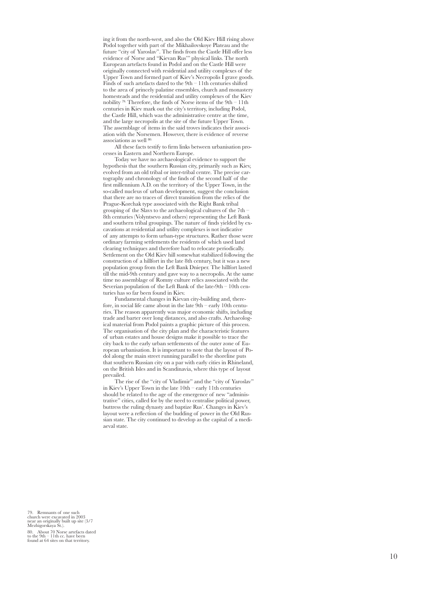ing it from the north-west, and also the Old Kiev Hill rising above Podol together with part of the Mikhailovskoye Plateau and the future "city of Yaroslav". The finds from the Castle Hill offer less evidence of Norse and "Kievan Rus'" physical links. The north European artefacts found in Podol and on the Castle Hill were originally connected with residential and utility complexes of the Upper Town and formed part of Kiev's Necropolis I grave goods. Finds of such artefacts dated to the  $9th - 11th$  centuries shifted to the area of princely palatine ensembles, church and monastery homesteads and the residential and utility complexes of the Kiev nobility 79 . Therefore, the finds of Norse items of the 9th – 11th centuries in Kiev mark out the city's territory, including Podol, the Castle Hill, which was the administrative centre at the time, and the large necropolis at the site of the future Upper Town. The assemblage of items in the said troves indicates their association with the Norsemen. However, there is evidence of reverse associations as well<sup>80</sup>

All these facts testify to firm links between urbanisation pro cesses in Eastern and Northern Europe.

Today we have no archaeological evidence to support the hypothesis that the southern Russian city, primarily such as Kiev, evolved from an old tribal or inter-tribal centre. The precise car tography and chronology of the finds of the second half of the first millennium A.D. on the territory of the Upper Town, in the so-called nucleus of urban development, suggest the conclusion that there are no traces of direct transition from the relics of the Prague-Korchak type associated with the Right Bank tribal grouping of the Slavs to the archaeological cultures of the 7th – 8th centuries (Volyntsevo and others) representing the Left Bank and southern tribal groupings. The nature of finds yielded by ex cavations at residential and utility complexes is not indicative of any attempts to form urban-type structures. Rather those were ordinary farming settlements the residents of which used land clearing techniques and therefore had to relocate periodically. Settlement on the Old Kiev hill somewhat stabilized following the construction of a hillfort in the late 8th century, but it was a new population group from the Left Bank Dnieper. The hillfort lasted till the mid-9th century and gave way to a necropolis. At the same time no assemblage of Romny culture relics associated with the Severian population of the Left Bank of the late-9th – 10th centuries has so far been found in Kiev.

Fundamental changes in Kievan city-building and, there fore, in social life came about in the late 9th – early 10th centu ries. The reason apparently was major economic shifts, including trade and barter over long distances, and also crafts. Archaeolog ical material from Podol paints a graphic picture of this process. The organisation of the city plan and the characteristic features of urban estates and house designs make it possible to trace the city back to the early urban settlements of the outer zone of Eu ropean urbanisation. It is important to note that the layout of Po dol along the main street running parallel to the shoreline puts that southern Russian city on a par with early cities in Rhineland, on the British Isles and in Scandinavia, where this type of layout prevailed.

The rise of the "city of Vladimir" and the "city of Yaroslav" in Kiev's Upper Town in the late 10th – early 11th centuries should be related to the age of the emergence of new "adminis trative" cities, called for by the need to centralise political power, buttress the ruling dynasty and baptize Rus'. Changes in Kiev's layout were a reflection of the budding of power in the Old Rus sian state. The city continued to develop as the capital of a medi aeval state.

79. Remnants of one such church were excavated in 2003 near an originally built up site (3/7 Mezhigorskaya St.).

80. About 70 Norse artefacts dated to the 9th – 11th cc. have been found at 64 sites on that territory.